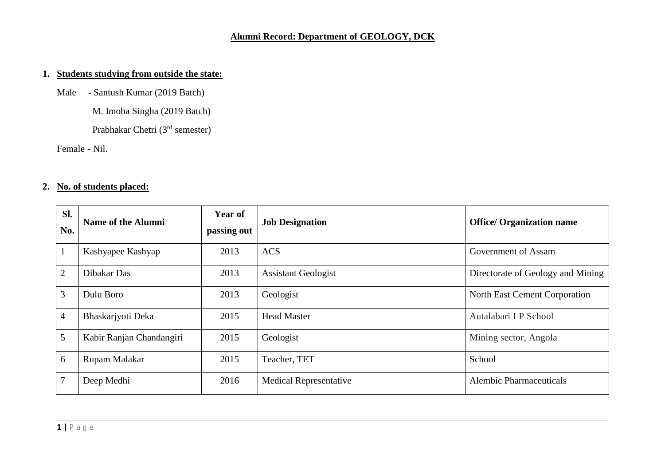## **Alumni Record: Department of GEOLOGY, DCK**

## **1. Students studying from outside the state:**

Male - Santush Kumar (2019 Batch)

M. Imoba Singha (2019 Batch)

Prabhakar Chetri (3rd semester)

Female - Nil.

## **2. No. of students placed:**

| Sl.<br>No.      | <b>Name of the Alumni</b> | <b>Year of</b><br>passing out | <b>Job Designation</b>        | <b>Office/ Organization name</b>  |
|-----------------|---------------------------|-------------------------------|-------------------------------|-----------------------------------|
| $\mathbf{1}$    | Kashyapee Kashyap         | 2013                          | <b>ACS</b>                    | Government of Assam               |
| 2               | Dibakar Das               | 2013                          | <b>Assistant Geologist</b>    | Directorate of Geology and Mining |
| 3               | Dulu Boro                 | 2013                          | Geologist                     | North East Cement Corporation     |
| $\overline{4}$  | Bhaskarjyoti Deka         | 2015                          | <b>Head Master</b>            | Autalabari LP School              |
| $5\overline{)}$ | Kabir Ranjan Chandangiri  | 2015                          | Geologist                     | Mining sector, Angola             |
| 6               | Rupam Malakar             | 2015                          | Teacher, TET                  | School                            |
| $\overline{7}$  | Deep Medhi                | 2016                          | <b>Medical Representative</b> | <b>Alembic Pharmaceuticals</b>    |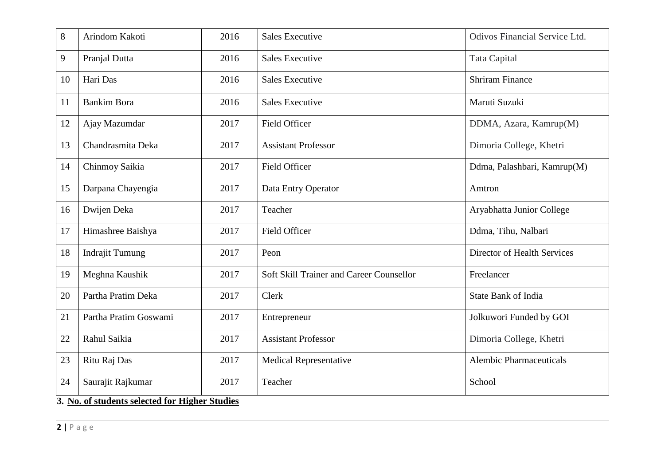| 8  | Arindom Kakoti         | 2016 | <b>Sales Executive</b>                   | Odivos Financial Service Ltd.      |
|----|------------------------|------|------------------------------------------|------------------------------------|
| 9  | Pranjal Dutta          | 2016 | <b>Sales Executive</b>                   | <b>Tata Capital</b>                |
| 10 | Hari Das               | 2016 | <b>Sales Executive</b>                   | <b>Shriram Finance</b>             |
| 11 | <b>Bankim Bora</b>     | 2016 | <b>Sales Executive</b>                   | Maruti Suzuki                      |
| 12 | Ajay Mazumdar          | 2017 | Field Officer                            | DDMA, Azara, Kamrup(M)             |
| 13 | Chandrasmita Deka      | 2017 | <b>Assistant Professor</b>               | Dimoria College, Khetri            |
| 14 | Chinmoy Saikia         | 2017 | <b>Field Officer</b>                     | Ddma, Palashbari, Kamrup(M)        |
| 15 | Darpana Chayengia      | 2017 | Data Entry Operator                      | Amtron                             |
| 16 | Dwijen Deka            | 2017 | Teacher                                  | Aryabhatta Junior College          |
| 17 | Himashree Baishya      | 2017 | <b>Field Officer</b>                     | Ddma, Tihu, Nalbari                |
| 18 | <b>Indrajit Tumung</b> | 2017 | Peon                                     | <b>Director of Health Services</b> |
| 19 | Meghna Kaushik         | 2017 | Soft Skill Trainer and Career Counsellor | Freelancer                         |
| 20 | Partha Pratim Deka     | 2017 | Clerk                                    | <b>State Bank of India</b>         |
| 21 | Partha Pratim Goswami  | 2017 | Entrepreneur                             | Jolkuwori Funded by GOI            |
| 22 | Rahul Saikia           | 2017 | <b>Assistant Professor</b>               | Dimoria College, Khetri            |
| 23 | Ritu Raj Das           | 2017 | <b>Medical Representative</b>            | <b>Alembic Pharmaceuticals</b>     |
| 24 | Saurajit Rajkumar      | 2017 | Teacher                                  | School                             |

**3. No. of students selected for Higher Studies**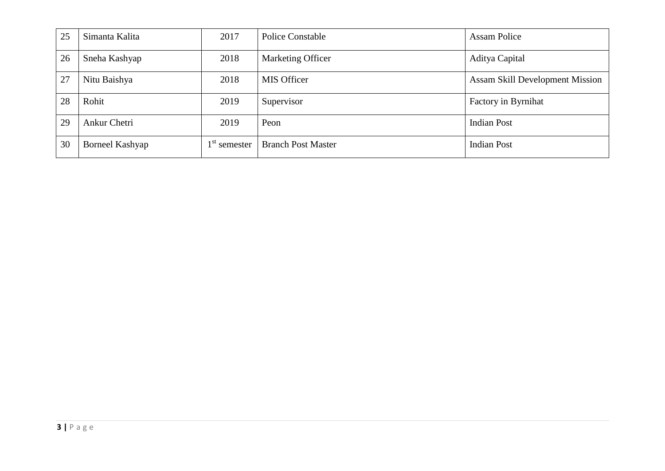| 25 | Simanta Kalita  | 2017           | <b>Police Constable</b>   | <b>Assam Police</b>                    |
|----|-----------------|----------------|---------------------------|----------------------------------------|
| 26 | Sneha Kashyap   | 2018           | Marketing Officer         | Aditya Capital                         |
| 27 | Nitu Baishya    | 2018           | <b>MIS Officer</b>        | <b>Assam Skill Development Mission</b> |
| 28 | Rohit           | 2019           | Supervisor                | Factory in Byrnihat                    |
| 29 | Ankur Chetri    | 2019           | Peon                      | <b>Indian Post</b>                     |
| 30 | Borneel Kashyap | $1st$ semester | <b>Branch Post Master</b> | <b>Indian Post</b>                     |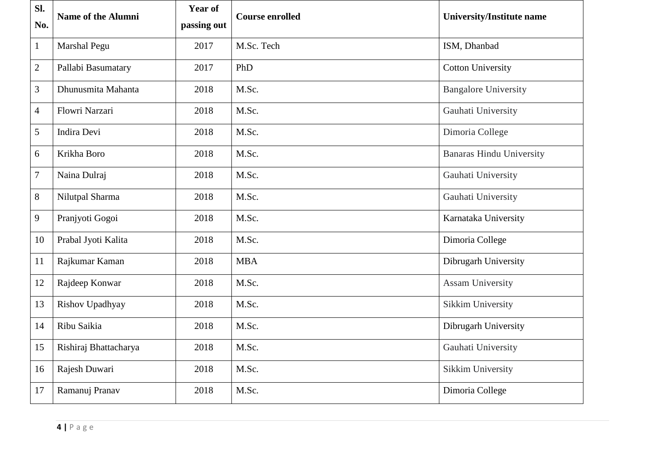| SI.<br>No.     | <b>Name of the Alumni</b> | <b>Year of</b><br>passing out | <b>Course enrolled</b> | <b>University/Institute name</b> |
|----------------|---------------------------|-------------------------------|------------------------|----------------------------------|
| $\mathbf{1}$   | Marshal Pegu              | 2017                          | M.Sc. Tech             | ISM, Dhanbad                     |
| $\overline{c}$ | Pallabi Basumatary        | 2017                          | PhD                    | <b>Cotton University</b>         |
| 3              | Dhunusmita Mahanta        | 2018                          | M.Sc.                  | <b>Bangalore University</b>      |
| $\overline{4}$ | Flowri Narzari            | 2018                          | M.Sc.                  | Gauhati University               |
| 5              | Indira Devi               | 2018                          | M.Sc.                  | Dimoria College                  |
| 6              | Krikha Boro               | 2018                          | M.Sc.                  | <b>Banaras Hindu University</b>  |
| 7              | Naina Dulraj              | 2018                          | M.Sc.                  | Gauhati University               |
| 8              | Nilutpal Sharma           | 2018                          | M.Sc.                  | Gauhati University               |
| 9              | Pranjyoti Gogoi           | 2018                          | M.Sc.                  | Karnataka University             |
| 10             | Prabal Jyoti Kalita       | 2018                          | M.Sc.                  | Dimoria College                  |
| 11             | Rajkumar Kaman            | 2018                          | <b>MBA</b>             | Dibrugarh University             |
| 12             | Rajdeep Konwar            | 2018                          | M.Sc.                  | <b>Assam University</b>          |
| 13             | Rishov Upadhyay           | 2018                          | M.Sc.                  | <b>Sikkim University</b>         |
| 14             | Ribu Saikia               | 2018                          | M.Sc.                  | Dibrugarh University             |
| 15             | Rishiraj Bhattacharya     | 2018                          | M.Sc.                  | Gauhati University               |
| 16             | Rajesh Duwari             | 2018                          | M.Sc.                  | <b>Sikkim University</b>         |
| 17             | Ramanuj Pranav            | 2018                          | M.Sc.                  | Dimoria College                  |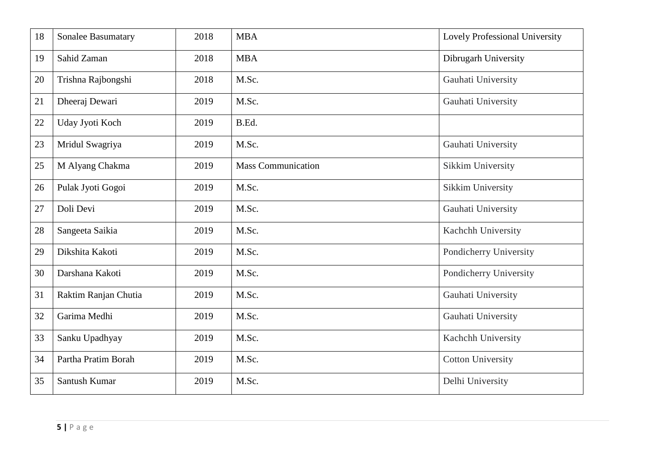| 18 | <b>Sonalee Basumatary</b> | 2018 | <b>MBA</b>                | Lovely Professional University |
|----|---------------------------|------|---------------------------|--------------------------------|
| 19 | Sahid Zaman               | 2018 | <b>MBA</b>                | Dibrugarh University           |
| 20 | Trishna Rajbongshi        | 2018 | M.Sc.                     | Gauhati University             |
| 21 | Dheeraj Dewari            | 2019 | M.Sc.                     | Gauhati University             |
| 22 | Uday Jyoti Koch           | 2019 | B.Ed.                     |                                |
| 23 | Mridul Swagriya           | 2019 | M.Sc.                     | Gauhati University             |
| 25 | M Alyang Chakma           | 2019 | <b>Mass Communication</b> | Sikkim University              |
| 26 | Pulak Jyoti Gogoi         | 2019 | M.Sc.                     | Sikkim University              |
| 27 | Doli Devi                 | 2019 | M.Sc.                     | Gauhati University             |
| 28 | Sangeeta Saikia           | 2019 | M.Sc.                     | Kachchh University             |
| 29 | Dikshita Kakoti           | 2019 | M.Sc.                     | Pondicherry University         |
| 30 | Darshana Kakoti           | 2019 | M.Sc.                     | Pondicherry University         |
| 31 | Raktim Ranjan Chutia      | 2019 | M.Sc.                     | Gauhati University             |
| 32 | Garima Medhi              | 2019 | M.Sc.                     | Gauhati University             |
| 33 | Sanku Upadhyay            | 2019 | M.Sc.                     | Kachchh University             |
| 34 | Partha Pratim Borah       | 2019 | M.Sc.                     | <b>Cotton University</b>       |
| 35 | Santush Kumar             | 2019 | M.Sc.                     | Delhi University               |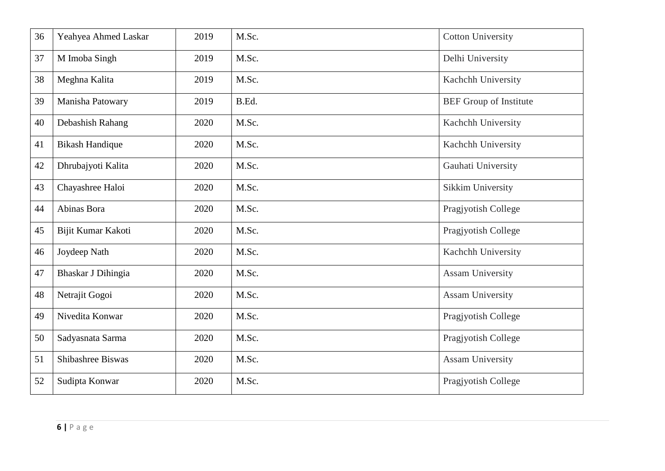| 36 | Yeahyea Ahmed Laskar   | 2019 | M.Sc. | <b>Cotton University</b>      |
|----|------------------------|------|-------|-------------------------------|
| 37 | M Imoba Singh          | 2019 | M.Sc. | Delhi University              |
| 38 | Meghna Kalita          | 2019 | M.Sc. | Kachchh University            |
| 39 | Manisha Patowary       | 2019 | B.Ed. | <b>BEF</b> Group of Institute |
| 40 | Debashish Rahang       | 2020 | M.Sc. | Kachchh University            |
| 41 | <b>Bikash Handique</b> | 2020 | M.Sc. | Kachchh University            |
| 42 | Dhrubajyoti Kalita     | 2020 | M.Sc. | Gauhati University            |
| 43 | Chayashree Haloi       | 2020 | M.Sc. | <b>Sikkim University</b>      |
| 44 | Abinas Bora            | 2020 | M.Sc. | Pragjyotish College           |
| 45 | Bijit Kumar Kakoti     | 2020 | M.Sc. | Pragjyotish College           |
| 46 | Joydeep Nath           | 2020 | M.Sc. | Kachchh University            |
| 47 | Bhaskar J Dihingia     | 2020 | M.Sc. | <b>Assam University</b>       |
| 48 | Netrajit Gogoi         | 2020 | M.Sc. | <b>Assam University</b>       |
| 49 | Nivedita Konwar        | 2020 | M.Sc. | Pragjyotish College           |
| 50 | Sadyasnata Sarma       | 2020 | M.Sc. | Pragjyotish College           |
| 51 | Shibashree Biswas      | 2020 | M.Sc. | <b>Assam University</b>       |
| 52 | Sudipta Konwar         | 2020 | M.Sc. | Pragjyotish College           |